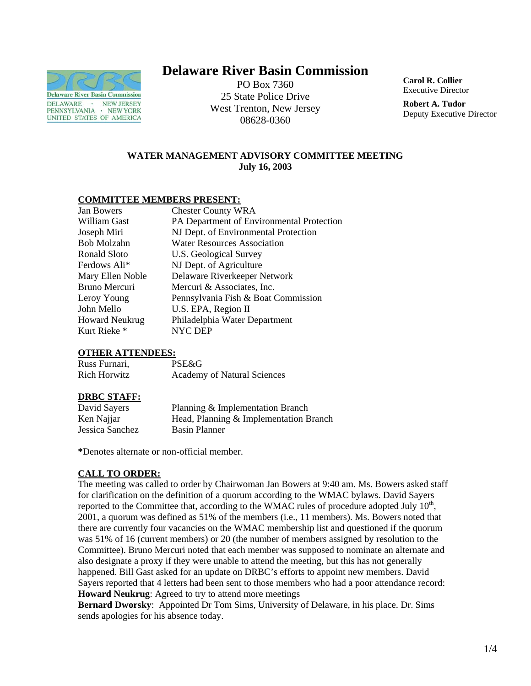

# **Delaware River Basin Commission**

PO Box 7360 25 State Police Drive West Trenton, New Jersey 08628-0360

**Carol R. Collier** Executive Director

**Robert A. Tudor**  Deputy Executive Director

## **WATER MANAGEMENT ADVISORY COMMITTEE MEETING July 16, 2003**

## **COMMITTEE MEMBERS PRESENT:**

| Jan Bowers            | <b>Chester County WRA</b>                 |
|-----------------------|-------------------------------------------|
| William Gast          | PA Department of Environmental Protection |
| Joseph Miri           | NJ Dept. of Environmental Protection      |
| Bob Molzahn           | <b>Water Resources Association</b>        |
| Ronald Sloto          | U.S. Geological Survey                    |
| Ferdows Ali*          | NJ Dept. of Agriculture                   |
| Mary Ellen Noble      | Delaware Riverkeeper Network              |
| Bruno Mercuri         | Mercuri & Associates, Inc.                |
| Leroy Young           | Pennsylvania Fish & Boat Commission       |
| John Mello            | U.S. EPA, Region II                       |
| <b>Howard Neukrug</b> | Philadelphia Water Department             |
| Kurt Rieke *          | NYC DEP                                   |

#### **OTHER ATTENDEES:**

| Russ Furnari,       | PSE&G                              |
|---------------------|------------------------------------|
| <b>Rich Horwitz</b> | <b>Academy of Natural Sciences</b> |

# **DRBC STAFF:**

| David Sayers    | Planning & Implementation Branch       |
|-----------------|----------------------------------------|
| Ken Najjar      | Head, Planning & Implementation Branch |
| Jessica Sanchez | Basin Planner                          |

**\***Denotes alternate or non-official member.

# **CALL TO ORDER:**

The meeting was called to order by Chairwoman Jan Bowers at 9:40 am. Ms. Bowers asked staff for clarification on the definition of a quorum according to the WMAC bylaws. David Sayers reported to the Committee that, according to the WMAC rules of procedure adopted July  $10<sup>th</sup>$ , 2001, a quorum was defined as 51% of the members (i.e., 11 members). Ms. Bowers noted that there are currently four vacancies on the WMAC membership list and questioned if the quorum was 51% of 16 (current members) or 20 (the number of members assigned by resolution to the Committee). Bruno Mercuri noted that each member was supposed to nominate an alternate and also designate a proxy if they were unable to attend the meeting, but this has not generally happened. Bill Gast asked for an update on DRBC's efforts to appoint new members. David Sayers reported that 4 letters had been sent to those members who had a poor attendance record: **Howard Neukrug**: Agreed to try to attend more meetings

**Bernard Dworsky**: Appointed Dr Tom Sims, University of Delaware, in his place. Dr. Sims sends apologies for his absence today.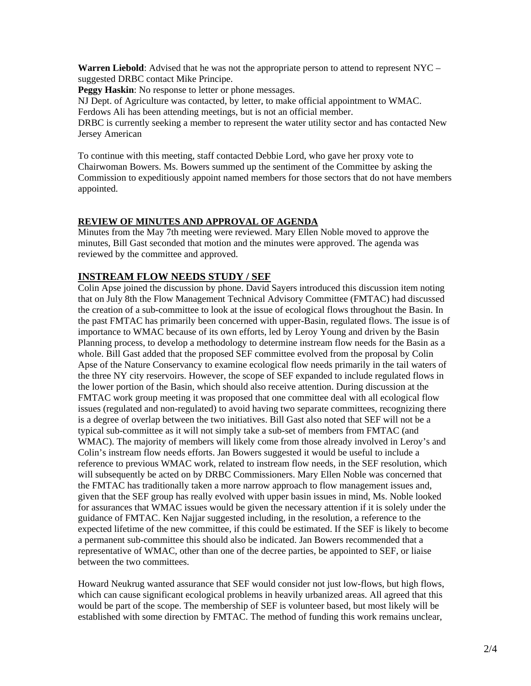**Warren Liebold**: Advised that he was not the appropriate person to attend to represent NYC – suggested DRBC contact Mike Principe.

**Peggy Haskin**: No response to letter or phone messages.

NJ Dept. of Agriculture was contacted, by letter, to make official appointment to WMAC. Ferdows Ali has been attending meetings, but is not an official member.

DRBC is currently seeking a member to represent the water utility sector and has contacted New Jersey American

To continue with this meeting, staff contacted Debbie Lord, who gave her proxy vote to Chairwoman Bowers. Ms. Bowers summed up the sentiment of the Committee by asking the Commission to expeditiously appoint named members for those sectors that do not have members appointed.

## **REVIEW OF MINUTES AND APPROVAL OF AGENDA**

Minutes from the May 7th meeting were reviewed. Mary Ellen Noble moved to approve the minutes, Bill Gast seconded that motion and the minutes were approved. The agenda was reviewed by the committee and approved.

# **INSTREAM FLOW NEEDS STUDY / SEF**

Colin Apse joined the discussion by phone. David Sayers introduced this discussion item noting that on July 8th the Flow Management Technical Advisory Committee (FMTAC) had discussed the creation of a sub-committee to look at the issue of ecological flows throughout the Basin. In the past FMTAC has primarily been concerned with upper-Basin, regulated flows. The issue is of importance to WMAC because of its own efforts, led by Leroy Young and driven by the Basin Planning process, to develop a methodology to determine instream flow needs for the Basin as a whole. Bill Gast added that the proposed SEF committee evolved from the proposal by Colin Apse of the Nature Conservancy to examine ecological flow needs primarily in the tail waters of the three NY city reservoirs. However, the scope of SEF expanded to include regulated flows in the lower portion of the Basin, which should also receive attention. During discussion at the FMTAC work group meeting it was proposed that one committee deal with all ecological flow issues (regulated and non-regulated) to avoid having two separate committees, recognizing there is a degree of overlap between the two initiatives. Bill Gast also noted that SEF will not be a typical sub-committee as it will not simply take a sub-set of members from FMTAC (and WMAC). The majority of members will likely come from those already involved in Leroy's and Colin's instream flow needs efforts. Jan Bowers suggested it would be useful to include a reference to previous WMAC work, related to instream flow needs, in the SEF resolution, which will subsequently be acted on by DRBC Commissioners. Mary Ellen Noble was concerned that the FMTAC has traditionally taken a more narrow approach to flow management issues and, given that the SEF group has really evolved with upper basin issues in mind, Ms. Noble looked for assurances that WMAC issues would be given the necessary attention if it is solely under the guidance of FMTAC. Ken Najjar suggested including, in the resolution, a reference to the expected lifetime of the new committee, if this could be estimated. If the SEF is likely to become a permanent sub-committee this should also be indicated. Jan Bowers recommended that a representative of WMAC, other than one of the decree parties, be appointed to SEF, or liaise between the two committees.

Howard Neukrug wanted assurance that SEF would consider not just low-flows, but high flows, which can cause significant ecological problems in heavily urbanized areas. All agreed that this would be part of the scope. The membership of SEF is volunteer based, but most likely will be established with some direction by FMTAC. The method of funding this work remains unclear,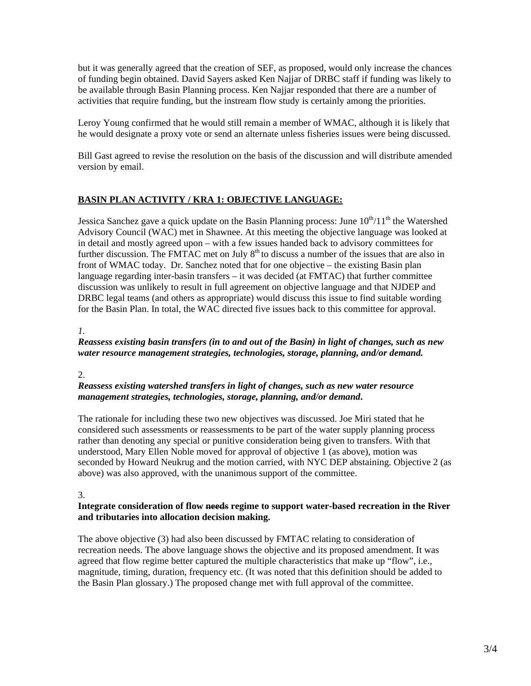but it was generally agreed that the creation of SEF, as proposed, would only increase the chances of funding begin obtained. David Sayers asked Ken Najjar of DRBC staff if funding was likely to be available through Basin Planning process. Ken Najjar responded that there are a number of activities that require funding, but the instream flow study is certainly among the priorities.

Leroy Young confirmed that he would still remain a member of WMAC, although it is likely that he would designate a proxy vote or send an alternate unless fisheries issues were being discussed.

Bill Gast agreed to revise the resolution on the basis of the discussion and will distribute amended version by email.

## **BASIN PLAN ACTIVITY / KRA 1: OBJECTIVE LANGUAGE:**

Jessica Sanchez gave a quick update on the Basin Planning process: June  $10^{th}/11^{th}$  the Watershed Advisory Council (WAC) met in Shawnee. At this meeting the objective language was looked at in detail and mostly agreed upon – with a few issues handed back to advisory committees for further discussion. The FMTAC met on July  $8<sup>th</sup>$  to discuss a number of the issues that are also in front of WMAC today. Dr. Sanchez noted that for one objective – the existing Basin plan language regarding inter-basin transfers – it was decided (at FMTAC) that further committee discussion was unlikely to result in full agreement on objective language and that NJDEP and DRBC legal teams (and others as appropriate) would discuss this issue to find suitable wording for the Basin Plan. In total, the WAC directed five issues back to this committee for approval.

#### *1.*

#### *Reassess existing basin transfers (in to and out of the Basin) in light of changes, such as new water resource management strategies, technologies, storage, planning, and/or demand.*

#### 2.

#### *Reassess existing watershed transfers in light of changes, such as new water resource management strategies, technologies, storage, planning, and/or demand***.**

The rationale for including these two new objectives was discussed. Joe Miri stated that he considered such assessments or reassessments to be part of the water supply planning process rather than denoting any special or punitive consideration being given to transfers. With that understood, Mary Ellen Noble moved for approval of objective 1 (as above), motion was seconded by Howard Neukrug and the motion carried, with NYC DEP abstaining. Objective 2 (as above) was also approved, with the unanimous support of the committee.

#### 3.

#### **Integrate consideration of flow needs regime to support water-based recreation in the River and tributaries into allocation decision making.**

The above objective (3) had also been discussed by FMTAC relating to consideration of recreation needs. The above language shows the objective and its proposed amendment. It was agreed that flow regime better captured the multiple characteristics that make up "flow", i.e., magnitude, timing, duration, frequency etc. (It was noted that this definition should be added to the Basin Plan glossary.) The proposed change met with full approval of the committee.